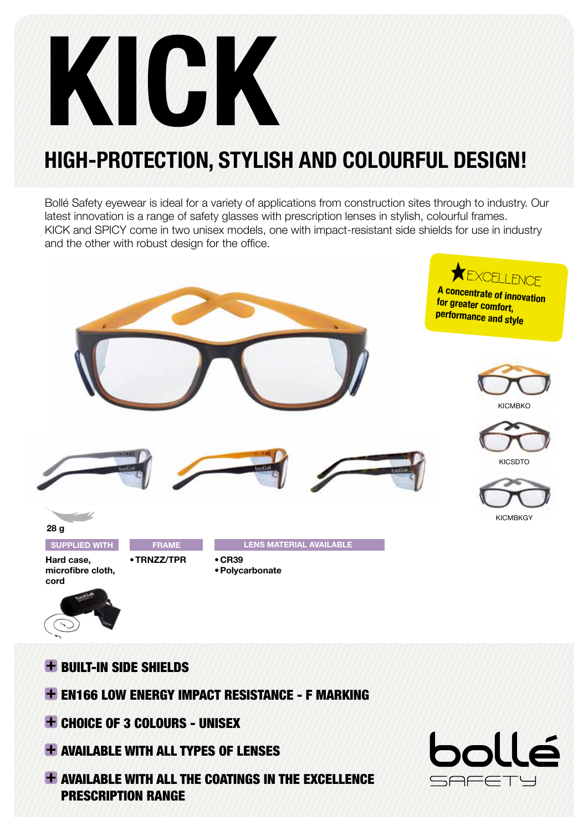# KICK

## HIGH-PROTECTION, STYLISH AND COLOURFUL DESIGN!

Bollé Safety eyewear is ideal for a variety of applications from construction sites through to industry. Our latest innovation is a range of safety glasses with prescription lenses in stylish, colourful frames. KICK and SPICY come in two unisex models, one with impact-resistant side shields for use in industry and the other with robust design for the office.



- -
- **+ BUILT-IN SIDE SHIELDS**
- EN166 LOW ENERGY IMPACT RESISTANCE F MARKING
- CHOICE OF 3 COLOURS UNISEX
- **+ AVAILABLE WITH ALL TYPES OF LENSES**
- **+ AVAILABLE WITH ALL THE COATINGS IN THE EXCELLENCE** PRESCRIPTION RANGE